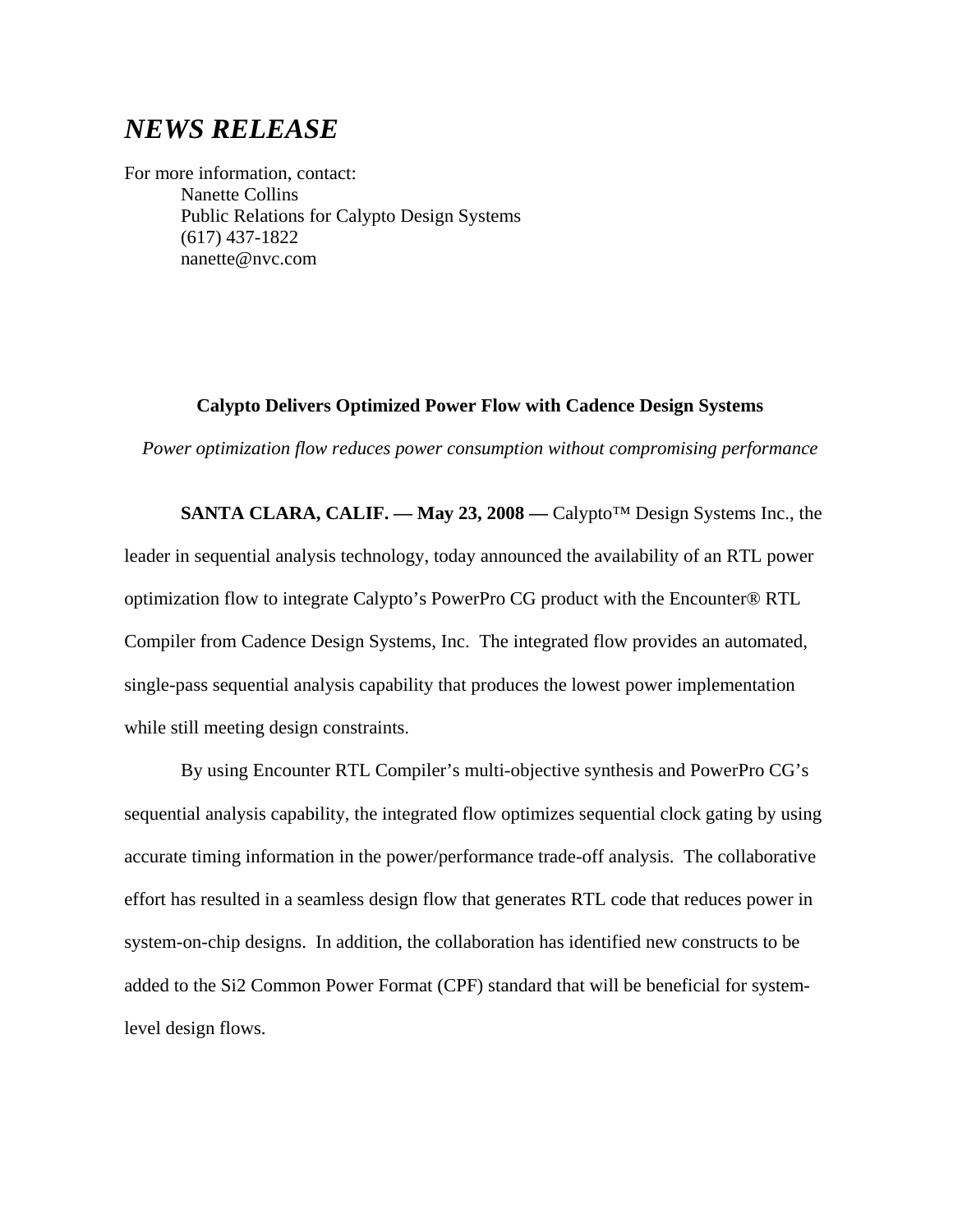# *NEWS RELEASE*

For more information, contact: Nanette Collins Public Relations for Calypto Design Systems (617) 437-1822 nanette@nvc.com

### **Calypto Delivers Optimized Power Flow with Cadence Design Systems**

*Power optimization flow reduces power consumption without compromising performance*

**SANTA CLARA, CALIF. –– May 23, 2008 ––** Calypto™ Design Systems Inc., the leader in sequential analysis technology, today announced the availability of an RTL power optimization flow to integrate Calypto's PowerPro CG product with the Encounter® RTL Compiler from Cadence Design Systems, Inc. The integrated flow provides an automated, single-pass sequential analysis capability that produces the lowest power implementation while still meeting design constraints.

By using Encounter RTL Compiler's multi-objective synthesis and PowerPro CG's sequential analysis capability, the integrated flow optimizes sequential clock gating by using accurate timing information in the power/performance trade-off analysis. The collaborative effort has resulted in a seamless design flow that generates RTL code that reduces power in system-on-chip designs. In addition, the collaboration has identified new constructs to be added to the Si2 Common Power Format (CPF) standard that will be beneficial for systemlevel design flows.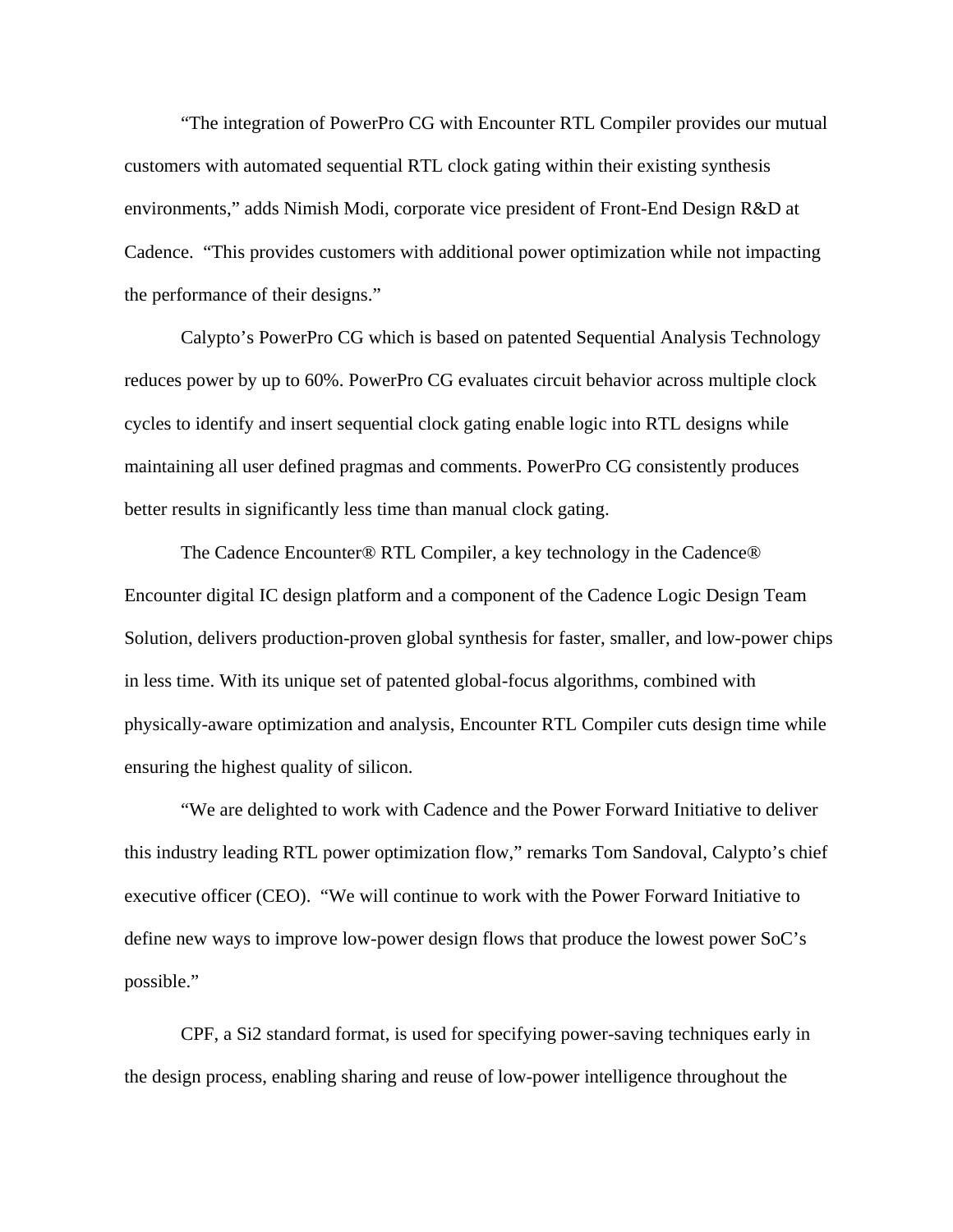"The integration of PowerPro CG with Encounter RTL Compiler provides our mutual customers with automated sequential RTL clock gating within their existing synthesis environments," adds Nimish Modi, corporate vice president of Front-End Design R&D at Cadence. "This provides customers with additional power optimization while not impacting the performance of their designs."

Calypto's PowerPro CG which is based on patented Sequential Analysis Technology reduces power by up to 60%. PowerPro CG evaluates circuit behavior across multiple clock cycles to identify and insert sequential clock gating enable logic into RTL designs while maintaining all user defined pragmas and comments. PowerPro CG consistently produces better results in significantly less time than manual clock gating.

The Cadence Encounter® RTL Compiler, a key technology in the Cadence® Encounter digital IC design platform and a component of the Cadence Logic Design Team Solution, delivers production-proven global synthesis for faster, smaller, and low-power chips in less time. With its unique set of patented global-focus algorithms, combined with physically-aware optimization and analysis, Encounter RTL Compiler cuts design time while ensuring the highest quality of silicon.

"We are delighted to work with Cadence and the Power Forward Initiative to deliver this industry leading RTL power optimization flow," remarks Tom Sandoval, Calypto's chief executive officer (CEO). "We will continue to work with the Power Forward Initiative to define new ways to improve low-power design flows that produce the lowest power SoC's possible."

CPF, a Si2 standard format, is used for specifying power-saving techniques early in the design process, enabling sharing and reuse of low-power intelligence throughout the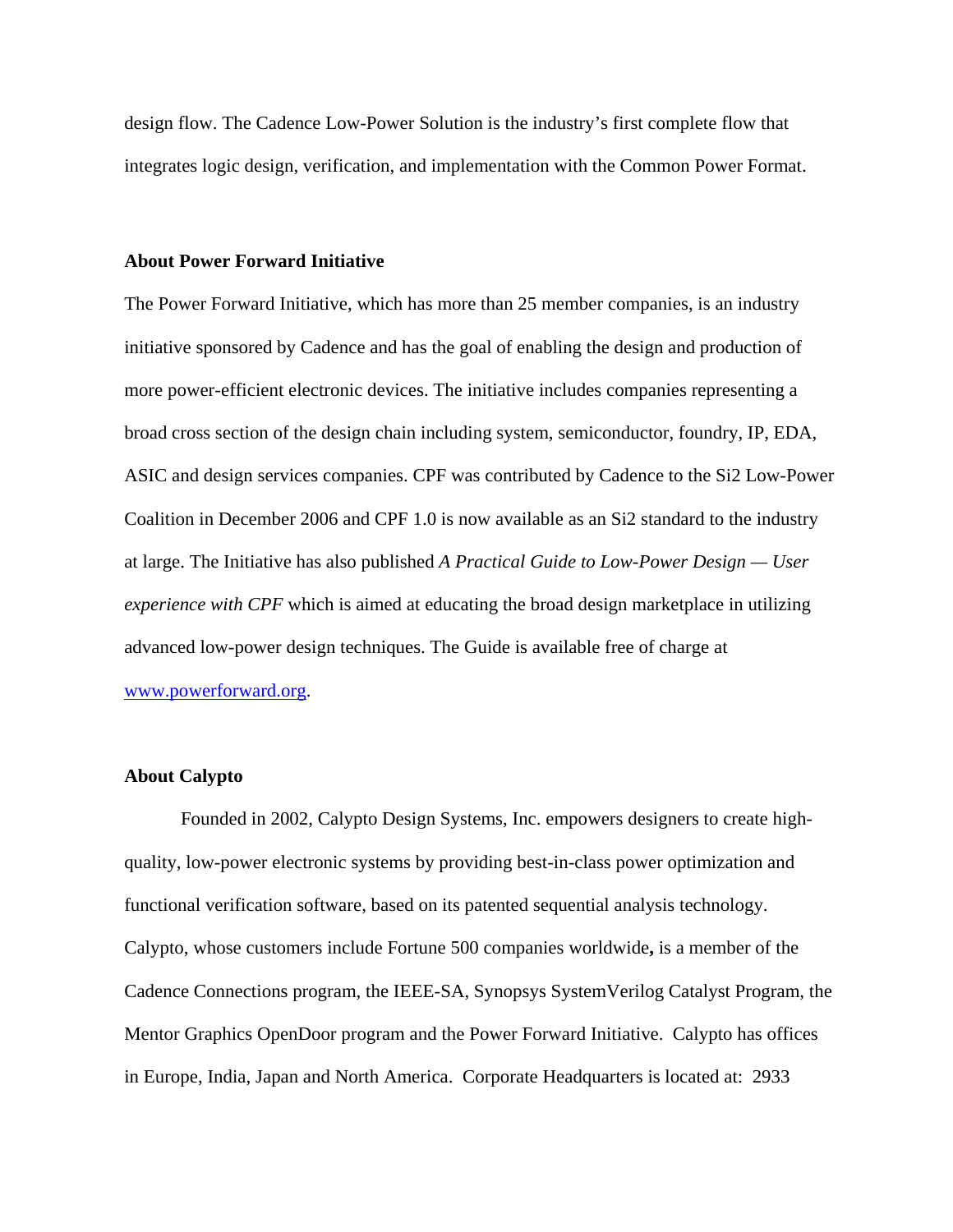design flow. The Cadence Low-Power Solution is the industry's first complete flow that integrates logic design, verification, and implementation with the Common Power Format.

#### **About Power Forward Initiative**

The Power Forward Initiative, which has more than 25 member companies, is an industry initiative sponsored by Cadence and has the goal of enabling the design and production of more power-efficient electronic devices. The initiative includes companies representing a broad cross section of the design chain including system, semiconductor, foundry, IP, EDA, ASIC and design services companies. CPF was contributed by Cadence to the Si2 Low-Power Coalition in December 2006 and CPF 1.0 is now available as an Si2 standard to the industry at large. The Initiative has also published *A Practical Guide to Low-Power Design — User experience with CPF* which is aimed at educating the broad design marketplace in utilizing advanced low-power design techniques. The Guide is available free of charge at [www.powerforward.org.](http://www.powerforward.org/)

#### **About Calypto**

Founded in 2002, Calypto Design Systems, Inc. empowers designers to create highquality, low-power electronic systems by providing best-in-class power optimization and functional verification software, based on its patented sequential analysis technology. Calypto, whose customers include Fortune 500 companies worldwide**,** is a member of the Cadence Connections program, the IEEE-SA, Synopsys SystemVerilog Catalyst Program, the Mentor Graphics OpenDoor program and the Power Forward Initiative. Calypto has offices in Europe, India, Japan and North America. Corporate Headquarters is located at: 2933